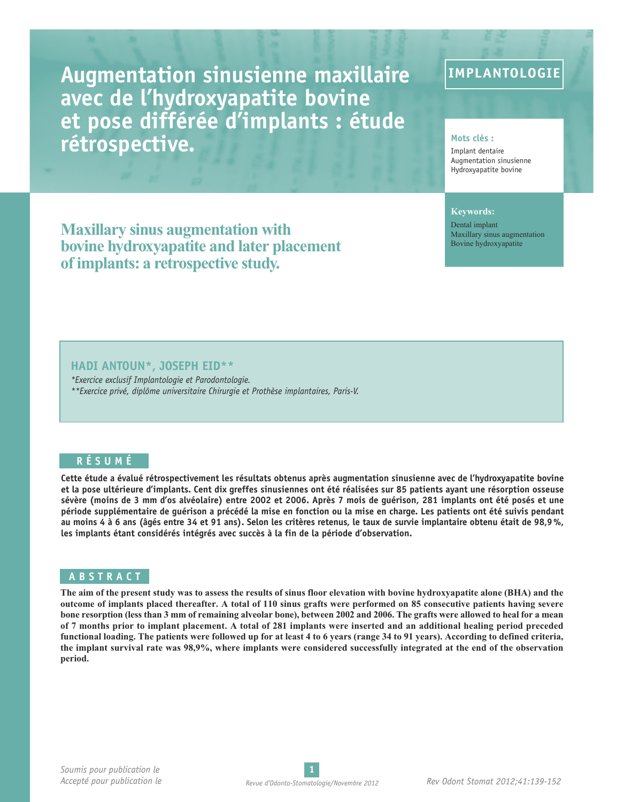**Augmentation sinusienne maxillaire avec de l'hydroxyapatite bovine et pose différée d'implants : étude rétrospective. Mots** clés **:** 

### **IMPLANTOLOGIE**

Implant dentaire Augmentation sinusienne Hydroxyapatite bovine

#### **Keywords:**

Dental implant Maxillary sinus augmentation Bovine hydroxyapatite

**Maxillary sinus augmentation with bovine hydroxyapatite and later placement of implants: a retrospective study.**

#### **HADI ANTOUN\*, JOSEPH EID\*\***

*\*Exercice exclusif Implantologie et Parodontologie. \*\*Exercice privé, diplôme universitaire Chirurgie et Prothèse implantaires, Paris-V.*

#### **R É S U M É**

Cette étude a évalué rétrospectivement les résultats obtenus après augmentation sinusienne avec de l'hydroxyapatite bovine et la pose ultérieure d'implants. Cent dix greffes sinusiennes ont été réalisées sur 85 patients ayant une résorption osseuse sévère (moins de 3 mm d'os alvéolaire) entre 2002 et 2006. Après 7 mois de guérison, 281 implants ont été posés et une période supplémentaire de quérison a précédé la mise en fonction ou la mise en charge. Les patients ont été suivis pendant au moins 4 à 6 ans (âgés entre 34 et 91 ans). Selon les critères retenus, le taux de survie implantaire obtenu était de 98,9%, **les implants étant considérés intégrés avec succès à la fin de la période d'observation.**

#### **A B S T R A C T**

The aim of the present study was to assess the results of sinus floor elevation with bovine hydroxyapatite alone (BHA) and the outcome of implants placed thereafter. A total of 110 sinus grafts were performed on 85 consecutive patients having severe bone resorption (less than 3 mm of remaining alveolar bone), between 2002 and 2006. The grafts were allowed to heal for a mean of 7 months prior to implant placement. A total of 281 implants were inserted and an additional healing period preceded functional loading. The patients were followed up for at least 4 to 6 years (range 34 to 91 years). According to defined criteria, the implant survival rate was 98,9%, where implants were considered successfully integrated at the end of the observation **period.**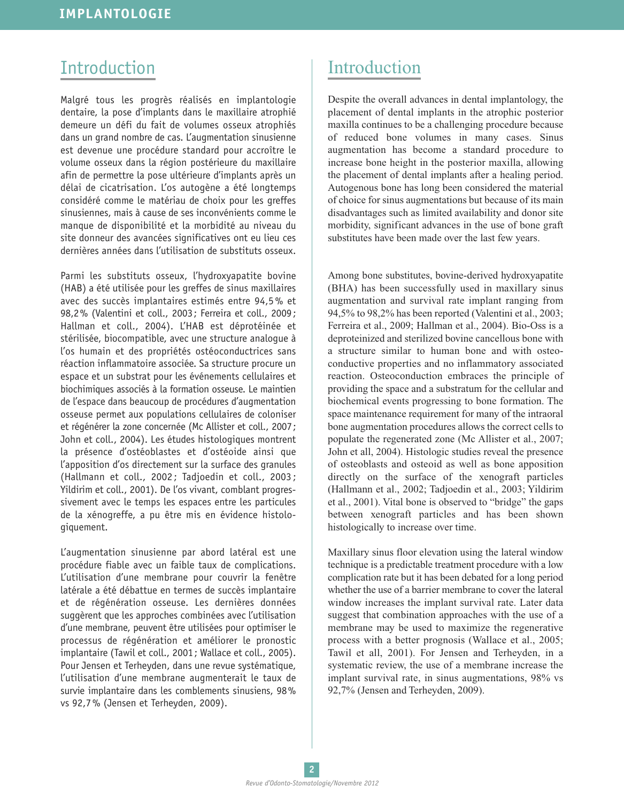# Introduction

Malgré tous les progrès réalisés en implantologie dentaire, la pose d'implants dans le maxillaire atrophié demeure un défi du fait de volumes osseux atrophiés dans un grand nombre de cas. L'augmentation sinusienne est devenue une procédure standard pour accroître le volume osseux dans la région postérieure du maxillaire afin de permettre la pose ultérieure d'implants après un délai de cicatrisation. L'os autogène a été longtemps considéré comme le matériau de choix pour les greffes sinusiennes, mais à cause de ses inconvénients comme le manque de disponibilité et la morbidité au niveau du site donneur des avancées significatives ont eu lieu ces dernières années dans l'utilisation de substituts osseux.

Parmi les substituts osseux, l'hydroxyapatite bovine (HAB) a été utilisée pour les greffes de sinus maxillaires avec des succès implantaires estimés entre 94,5% et 98,2% (Valentini et coll., 2003; Ferreira et coll., 2009; Hallman et coll., 2004). L'HAB est déprotéinée et stérilisée, biocompatible, avec une structure analogue à l'os humain et des propriétés ostéoconductrices sans réaction inflammatoire associée. Sa structure procure un espace et un substrat pour les événements cellulaires et biochimiques associés à la formation osseuse. Le maintien de l'espace dans beaucoup de procédures d'augmentation osseuse permet aux populations cellulaires de coloniser et régénérer la zone concernée (Mc Allister et coll., 2007; John et coll., 2004). Les études histologiques montrent la présence d'ostéoblastes et d'ostéoide ainsi que l'apposition d'os directement sur la surface des granules (Hallmann et coll., 2002 ; Tadjoedin et coll., 2003 ; Yildirim et coll., 2001). De l'os vivant, comblant progressivement avec le temps les espaces entre les particules de la xénogreffe, a pu être mis en évidence histologiquement.

L'augmentation sinusienne par abord latéral est une procédure fiable avec un faible taux de complications. L'utilisation d'une membrane pour couvrir la fenêtre latérale a été débattue en termes de succès implantaire et de régénération osseuse. Les dernières données suggèrent que les approches combinées avec l'utilisation d'une membrane, peuvent être utilisées pour optimiser le processus de régénération et améliorer le pronostic implantaire (Tawil et coll., 2001; Wallace et coll., 2005). Pour Jensen et Terheyden, dans une revue systématique, l'utilisation d'une membrane augmenterait le taux de survie implantaire dans les comblements sinusiens, 98% vs 92,7% (Jensen et Terheyden, 2009).

# Introduction

Despite the overall advances in dental implantology, the placement of dental implants in the atrophic posterior maxilla continues to be a challenging procedure because of reduced bone volumes in many cases. Sinus augmentation has become a standard procedure to increase bone height in the posterior maxilla, allowing the placement of dental implants after a healing period. Autogenous bone has long been considered the material of choice for sinus augmentations but because of its main disadvantages such as limited availability and donor site morbidity, significant advances in the use of bone graft substitutes have been made over the last few years.

Among bone substitutes, bovine-derived hydroxyapatite (BHA) has been successfully used in maxillary sinus augmentation and survival rate implant ranging from 94,5% to 98,2% has been reported (Valentini et al., 2003; Ferreira et al., 2009; Hallman et al., 2004). Bio-Oss is a deproteinized and sterilized bovine cancellous bone with a structure similar to human bone and with osteoconductive properties and no inflammatory associated reaction. Osteoconduction embraces the principle of providing the space and a substratum for the cellular and biochemical events progressing to bone formation. The space maintenance requirement for many of the intraoral bone augmentation procedures allows the correct cells to populate the regenerated zone (Mc Allister et al., 2007; John et all, 2004). Histologic studies reveal the presence of osteoblasts and osteoid as well as bone apposition directly on the surface of the xenograft particles (Hallmann et al., 2002; Tadjoedin et al., 2003; Yildirim et al., 2001). Vital bone is observed to "bridge" the gaps between xenograft particles and has been shown histologically to increase over time.

Maxillary sinus floor elevation using the lateral window technique is a predictable treatment procedure with a low complication rate but it has been debated for a long period whether the use of a barrier membrane to cover the lateral window increases the implant survival rate. Later data suggest that combination approaches with the use of a membrane may be used to maximize the regenerative process with a better prognosis (Wallace et al., 2005; Tawil et all, 2001). For Jensen and Terheyden, in a systematic review, the use of a membrane increase the implant survival rate, in sinus augmentations, 98% vs 92,7% (Jensen and Terheyden, 2009).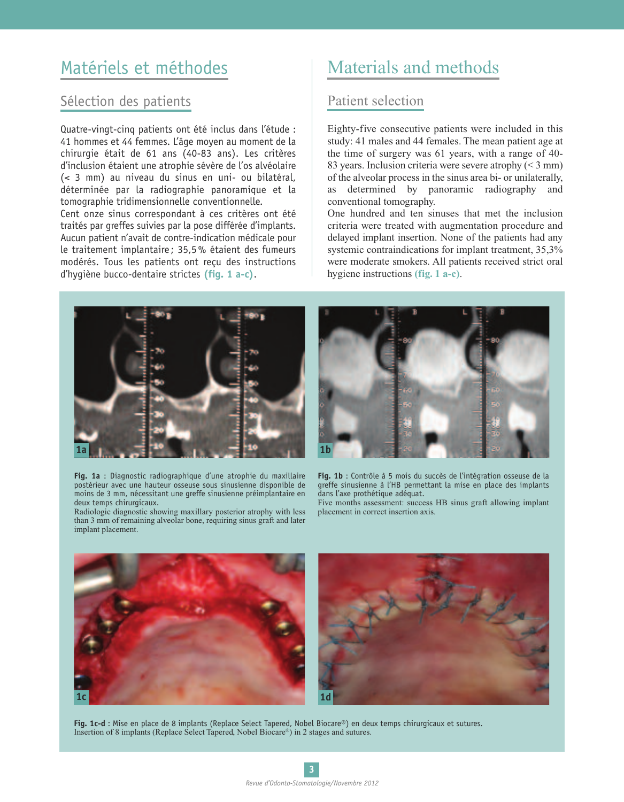# Matériels et méthodes

### Sélection des patients

Quatre-vingt-cinq patients ont été inclus dans l'étude : 41 hommes et 44 femmes. L'âge moyen au moment de la chirurgie était de 61 ans (40-83 ans). Les critères d'inclusion étaient une atrophie sévère de l'os alvéolaire (< 3 mm) au niveau du sinus en uni- ou bilatéral, déterminée par la radiographie panoramique et la tomographie tridimensionnelle conventionnelle. Cent onze sinus correspondant à ces critères ont été traités par greffes suivies par la pose différée d'implants. Aucun patient n'avait de contre-indication médicale pour le traitement implantaire ; 35,5% étaient des fumeurs modérés. Tous les patients ont reçu des instructions d'hygiène bucco-dentaire strictes **(fig. 1 a-c)**.

# Materials and methods

### Patient selection

Eighty-five consecutive patients were included in this study: 41 males and 44 females. The mean patient age at the time of surgery was 61 years, with a range of 40- 83 years. Inclusion criteria were severe atrophy (< 3 mm) of the alveolar process in the sinus area bi- or unilaterally, as determined by panoramic radiography and conventional tomography.

One hundred and ten sinuses that met the inclusion criteria were treated with augmentation procedure and delayed implant insertion. None of the patients had any systemic contraindications for implant treatment, 35,3% were moderate smokers. All patients received strict oral hygiene instructions **(fig. 1 a-c)**.



**Fig. 1a** : Diagnostic radiographique d'une atrophie du maxillaire postérieur avec une hauteur osseuse sous sinusienne disponible de moins de 3 mm, nécessitant une greffe sinusienne préimplantaire en deux temps chirurgicaux.

Radiologic diagnostic showing maxillary posterior atrophy with less than 3 mm of remaining alveolar bone, requiring sinus graft and later implant placement.



**Fig. 1b** : Contrôle à 5 mois du succès de l'intégration osseuse de la greffe sinusienne à l'HB permettant la mise en place des implants dans l'axe prothétique adéquat.

Five months assessment: success HB sinus graft allowing implant placement in correct insertion axis.



**Fig. 1c-d** : Mise en place de 8 implants (Replace Select Tapered, Nobel Biocare®) en deux temps chirurgicaux et sutures. Insertion of 8 implants (Replace Select Tapered, Nobel Biocare®) in 2 stages and sutures.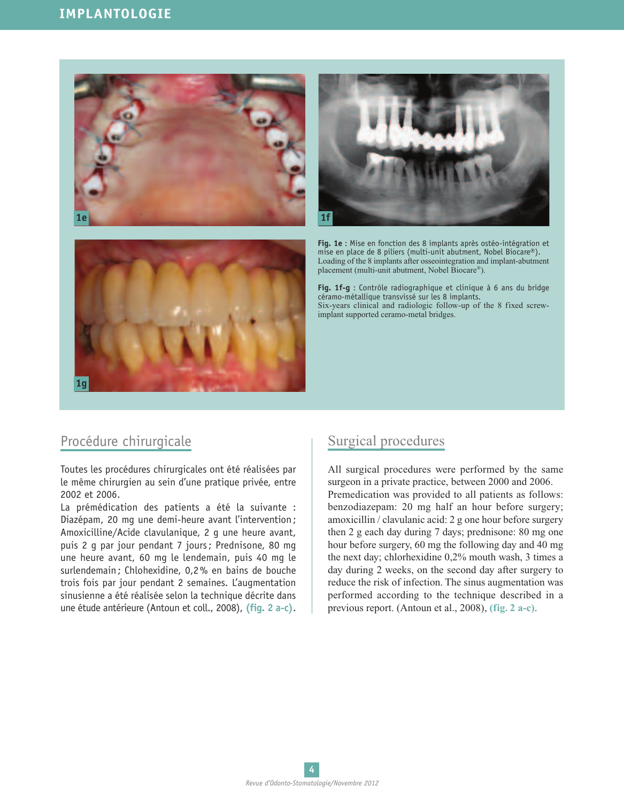### **IMPLANTOLOGIE**





**Fig. 1e** : Mise en fonction des 8 implants après ostéo-intégration et mise en place de 8 piliers (multi-unit abutment, Nobel Biocare®). Loading of the 8 implants after osseointegration and implant-abutment placement (multi-unit abutment, Nobel Biocare®).

**Fig. 1f-g** : Contrôle radiographique et clinique à 6 ans du bridge céramo-métallique transvissé sur les 8 implants. Six-years clinical and radiologic follow-up of the 8 fixed screwimplant supported ceramo-metal bridges.

### Procédure chirurgicale

**1g**

Toutes les procédures chirurgicales ont été réalisées par le même chirurgien au sein d'une pratique privée, entre 2002 et 2006.

La prémédication des patients a été la suivante : Diazépam, 20 mg une demi-heure avant l'intervention; Amoxicilline/Acide clavulanique, 2 g une heure avant, puis 2 g par jour pendant 7 jours; Prednisone, 80 mg une heure avant, 60 mg le lendemain, puis 40 mg le surlendemain; Chlohexidine, 0,2% en bains de bouche trois fois par jour pendant 2 semaines. L'augmentation sinusienne a été réalisée selon la technique décrite dans une étude antérieure (Antoun et coll., 2008), **(fig. 2 a-c)**.

### Surgical procedures

All surgical procedures were performed by the same surgeon in a private practice, between 2000 and 2006. Premedication was provided to all patients as follows: benzodiazepam: 20 mg half an hour before surgery; amoxicillin / clavulanic acid: 2 g one hour before surgery then 2 g each day during 7 days; prednisone: 80 mg one hour before surgery, 60 mg the following day and 40 mg the next day; chlorhexidine 0,2% mouth wash, 3 times a day during 2 weeks, on the second day after surgery to reduce the risk of infection. The sinus augmentation was performed according to the technique described in a previous report. (Antoun et al., 2008), **(fig. 2 a-c)**.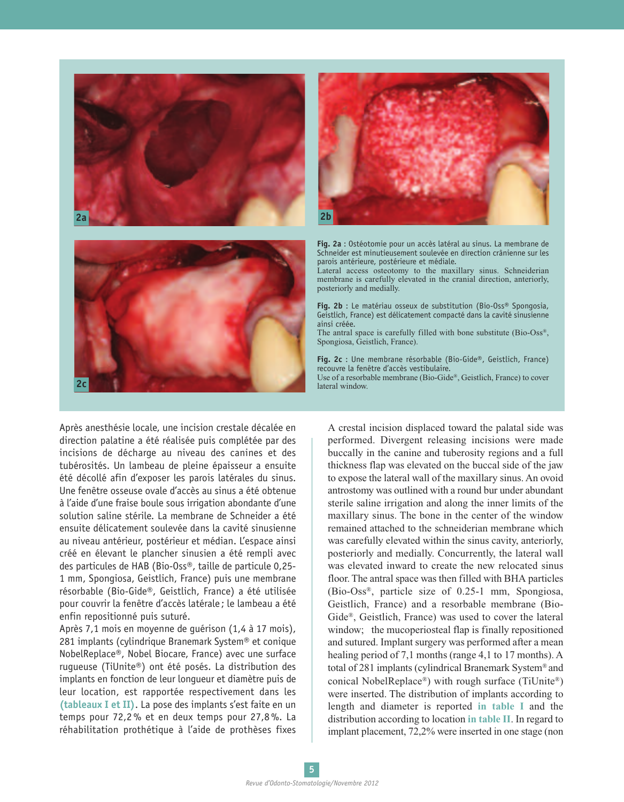



**Fig. 2a** : Ostéotomie pour un accès latéral au sinus. La membrane de Schneider est minutieusement soulevée en direction crânienne sur les parois antérieure, postérieure et médiale.

Lateral access osteotomy to the maxillary sinus. Schneiderian membrane is carefully elevated in the cranial direction, anteriorly, posteriorly and medially.

**Fig. 2b** : Le matériau osseux de substitution (Bio-Oss® Spongosia, Geistlich, France) est délicatement compacté dans la cavité sinusienne ainsi créée. The antral space is carefully filled with bone substitute (Bio-Oss®, Spongiosa, Geistlich, France).

**Fig. 2c** : Une membrane résorbable (Bio-Gide®, Geistlich, France) recouvre la fenêtre d'accès vestibulaire. Use of a resorbable membrane (Bio-Gide®, Geistlich, France) to cover lateral window.

Après anesthésie locale, une incision crestale décalée en direction palatine a été réalisée puis complétée par des incisions de décharge au niveau des canines et des tubérosités. Un lambeau de pleine épaisseur a ensuite été décollé afin d'exposer les parois latérales du sinus. Une fenêtre osseuse ovale d'accès au sinus a été obtenue à l'aide d'une fraise boule sous irrigation abondante d'une solution saline stérile. La membrane de Schneider a été ensuite délicatement soulevée dans la cavité sinusienne au niveau antérieur, postérieur et médian. L'espace ainsi créé en élevant le plancher sinusien a été rempli avec des particules de HAB (Bio-Oss®, taille de particule 0,25- 1 mm, Spongiosa, Geistlich, France) puis une membrane résorbable (Bio-Gide®, Geistlich, France) a été utilisée pour couvrir la fenêtre d'accès latérale ; le lambeau a été enfin repositionné puis suturé.

Après 7,1 mois en moyenne de guérison (1,4 à 17 mois), 281 implants (cylindrique Branemark System® et conique NobelReplace®, Nobel Biocare, France) avec une surface rugueuse (TiUnite®) ont été posés. La distribution des implants en fonction de leur longueur et diamètre puis de leur location, est rapportée respectivement dans les **(tableaux I et II)**. La pose des implants s'est faite en un temps pour 72,2% et en deux temps pour 27,8%. La réhabilitation prothétique à l'aide de prothèses fixes A crestal incision displaced toward the palatal side was performed. Divergent releasing incisions were made buccally in the canine and tuberosity regions and a full thickness flap was elevated on the buccal side of the jaw to expose the lateral wall of the maxillary sinus. An ovoid antrostomy was outlined with a round bur under abundant sterile saline irrigation and along the inner limits of the maxillary sinus. The bone in the center of the window remained attached to the schneiderian membrane which was carefully elevated within the sinus cavity, anteriorly, posteriorly and medially. Concurrently, the lateral wall was elevated inward to create the new relocated sinus floor. The antral space was then filled with BHA particles (Bio-Oss®, particle size of 0.25-1 mm, Spongiosa, Geistlich, France) and a resorbable membrane (Bio-Gide®, Geistlich, France) was used to cover the lateral window; the mucoperiosteal flap is finally repositioned and sutured. Implant surgery was performed after a mean healing period of 7,1 months (range 4,1 to 17 months). A total of 281 implants (cylindrical Branemark System® and conical NobelReplace®) with rough surface (TiUnite®) were inserted. The distribution of implants according to length and diameter is reported **in table I** and the distribution according to location **in table II**. In regard to implant placement, 72,2% were inserted in one stage (non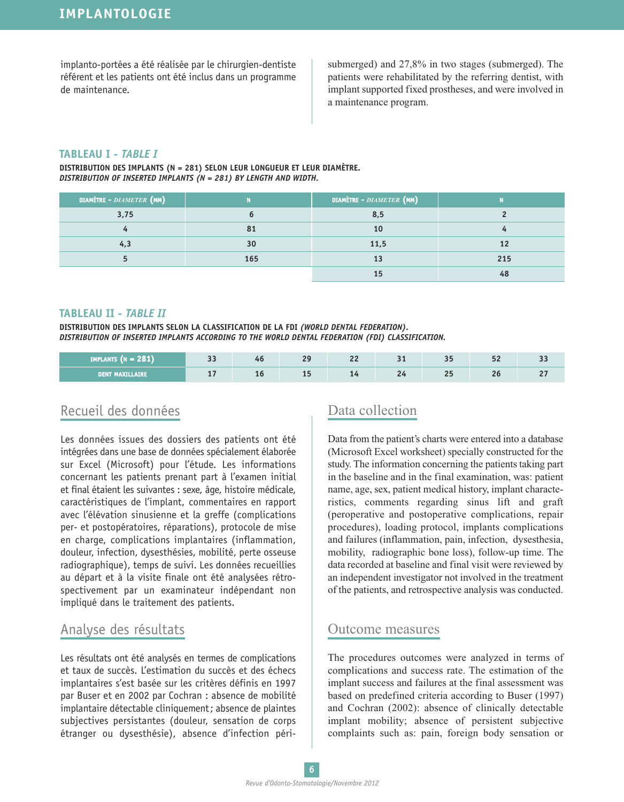implanto-portées a été réalisée par le chirurgien-dentiste référent et les patients ont été inclus dans un programme de maintenance.

submerged) and 27,8% in two stages (submerged). The patients were rehabilitated by the referring dentist, with implant supported fixed prostheses, and were involved in a maintenance program.

#### **TABLEAU I -** *TABLE I*

**DISTRIBUTION DES IMPLANTS (N = 281) SELON LEUR LONGUEUR ET LEUR DIAMÈTRE.** *DISTRIBUTION OF INSERTED IMPLANTS (N = 281) BY LENGTH AND WIDTH.*

| <b>DIAMÈTRE - DIAMETER (MM)</b> |     | <b>DIAMÈTRE -</b> DIAMETER (MM) |     |  |
|---------------------------------|-----|---------------------------------|-----|--|
| 3,75                            |     | 8,5                             |     |  |
|                                 | 81  | 10                              |     |  |
|                                 | 30  | 11,5                            |     |  |
|                                 | 165 |                                 | 215 |  |
|                                 |     |                                 |     |  |

#### **TABLEAU II -** *TABLE II*

**DISTRIBUTION DES IMPLANTS SELON LA CLASSIFICATION DE LA FDI** *(WORLD DENTAL FEDERATION). DISTRIBUTION OF INSERTED IMPLANTS ACCORDING TO THE WORLD DENTAL FEDERATION (FDI) CLASSIFICATION.*

| 12911<br>IMPLANTS (N = 2 | $\sim$<br>ر ر |    | $\Omega$<br>-- | $\sim$<br>-- | -- | --  | $ -$<br>-- | ں ں |
|--------------------------|---------------|----|----------------|--------------|----|-----|------------|-----|
| DENT MAXILLAIRE          | . .           | ᅩັ | --             | --           | -- | . . | - -        |     |

### Recueil des données

Les données issues des dossiers des patients ont été intégrées dans une base de données spécialement élaborée sur Excel (Microsoft) pour l'étude. Les informations concernant les patients prenant part à l'examen initial et final étaient les suivantes : sexe, âge, histoire médicale, caractéristiques de l'implant, commentaires en rapport avec l'élévation sinusienne et la greffe (complications per- et postopératoires, réparations), protocole de mise en charge, complications implantaires (inflammation, douleur, infection, dysesthésies, mobilité, perte osseuse radiographique), temps de suivi. Les données recueillies au départ et à la visite finale ont été analysées rétrospectivement par un examinateur indépendant non impliqué dans le traitement des patients.

### Analyse des résultats

Les résultats ont été analysés en termes de complications et taux de succès. L'estimation du succès et des échecs implantaires s'est basée sur les critères définis en 1997 par Buser et en 2002 par Cochran : absence de mobilité implantaire détectable cliniquement; absence de plaintes subjectives persistantes (douleur, sensation de corps étranger ou dysesthésie), absence d'infection péri-

### Data collection

Data from the patient's charts were entered into a database (Microsoft Excel worksheet) specially constructed for the study. The information concerning the patients taking part in the baseline and in the final examination, was: patient name, age, sex, patient medical history, implant characteristics, comments regarding sinus lift and graft (peroperative and postoperative complications, repair procedures), loading protocol, implants complications and failures (inflammation, pain, infection, dysesthesia, mobility, radiographic bone loss), follow-up time. The data recorded at baseline and final visit were reviewed by an independent investigator not involved in the treatment of the patients, and retrospective analysis was conducted.

### Outcome measures

The procedures outcomes were analyzed in terms of complications and success rate. The estimation of the implant success and failures at the final assessment was based on predefined criteria according to Buser (1997) and Cochran (2002): absence of clinically detectable implant mobility; absence of persistent subjective complaints such as: pain, foreign body sensation or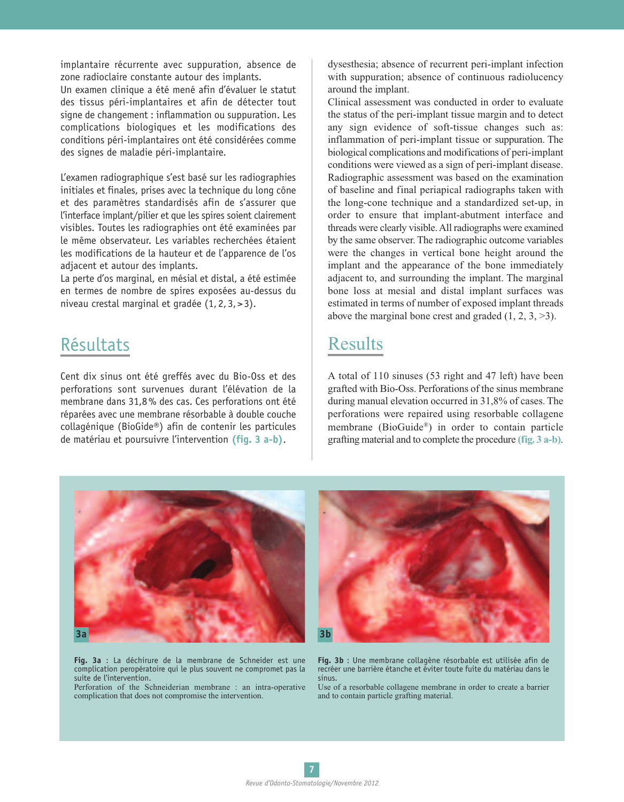implantaire récurrente avec suppuration, absence de zone radioclaire constante autour des implants.

Un examen clinique a été mené afin d'évaluer le statut des tissus péri-implantaires et afin de détecter tout signe de changement : inflammation ou suppuration. Les complications biologiques et les modifications des conditions péri-implantaires ont été considérées comme des signes de maladie péri-implantaire.

L'examen radiographique s'est basé sur les radiographies initiales et finales, prises avec la technique du long cône et des paramètres standardisés afin de s'assurer que l'interface implant/pilier et que les spires soient clairement visibles. Toutes les radiographies ont été examinées par le même observateur. Les variables recherchées étaient les modifications de la hauteur et de l'apparence de l'os adjacent et autour des implants.

La perte d'os marginal, en mésial et distal, a été estimée en termes de nombre de spires exposées au-dessus du niveau crestal marginal et gradée (1,2,3,>3).

# Résultats

Cent dix sinus ont été greffés avec du Bio-Oss et des perforations sont survenues durant l'élévation de la membrane dans 31,8% des cas. Ces perforations ont été réparées avec une membrane résorbable à double couche collagénique (BioGide®) afin de contenir les particules de matériau et poursuivre l'intervention **(fig. 3 a-b)**.

dysesthesia; absence of recurrent peri-implant infection with suppuration; absence of continuous radiolucency around the implant.

Clinical assessment was conducted in order to evaluate the status of the peri-implant tissue margin and to detect any sign evidence of soft-tissue changes such as: inflammation of peri-implant tissue or suppuration. The biological complications and modifications of peri-implant conditions were viewed as a sign of peri-implant disease. Radiographic assessment was based on the examination of baseline and final periapical radiographs taken with the long-cone technique and a standardized set-up, in order to ensure that implant-abutment interface and threads were clearly visible.All radiographs were examined by the same observer. The radiographic outcome variables were the changes in vertical bone height around the implant and the appearance of the bone immediately adjacent to, and surrounding the implant. The marginal bone loss at mesial and distal implant surfaces was estimated in terms of number of exposed implant threads above the marginal bone crest and graded  $(1, 2, 3, \ge 3)$ .

## Results

A total of 110 sinuses (53 right and 47 left) have been grafted with Bio-Oss. Perforations of the sinus membrane during manual elevation occurred in 31,8% of cases. The perforations were repaired using resorbable collagene membrane (BioGuide®) in order to contain particle grafting material and to complete the procedure **(fig. 3 a-b)**.



**Fig. 3a** : La déchirure de la membrane de Schneider est une complication peropératoire qui le plus souvent ne compromet pas la suite de l'intervention.

Perforation of the Schneiderian membrane : an intra-operative complication that does not compromise the intervention.



**Fig. 3b** : Une membrane collagène résorbable est utilisée afin de recréer une barrière étanche et éviter toute fuite du matériau dans le sinus.

Use of a resorbable collagene membrane in order to create a barrier and to contain particle grafting material.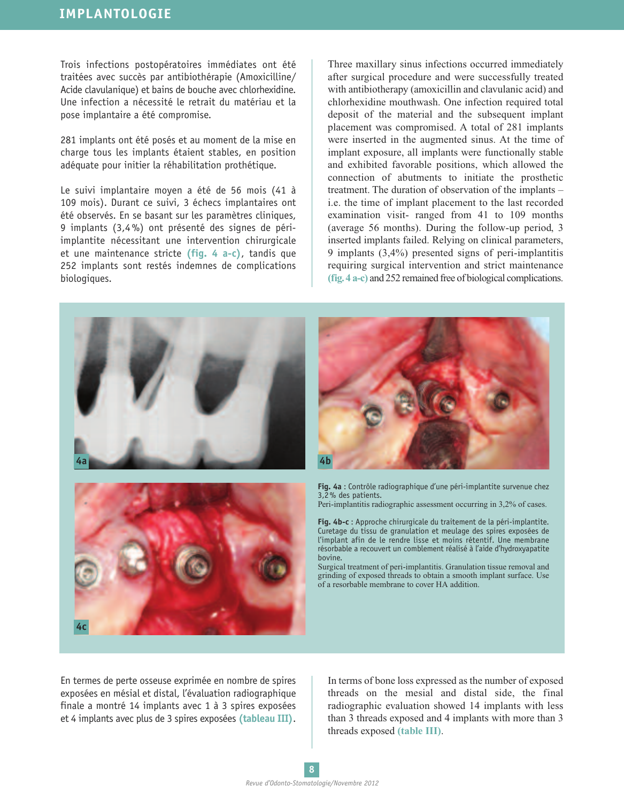Trois infections postopératoires immédiates ont été traitées avec succès par antibiothérapie (Amoxicilline/ Acide clavulanique) et bains de bouche avec chlorhexidine. Une infection a nécessité le retrait du matériau et la pose implantaire a été compromise.

281 implants ont été posés et au moment de la mise en charge tous les implants étaient stables, en position adéquate pour initier la réhabilitation prothétique.

Le suivi implantaire moyen a été de 56 mois (41 à 109 mois). Durant ce suivi, 3 échecs implantaires ont été observés. En se basant sur les paramètres cliniques, 9 implants (3,4%) ont présenté des signes de périimplantite nécessitant une intervention chirurgicale et une maintenance stricte **(fig. 4 a-c)**, tandis que 252 implants sont restés indemnes de complications biologiques.

Three maxillary sinus infections occurred immediately after surgical procedure and were successfully treated with antibiotherapy (amoxicillin and clavulanic acid) and chlorhexidine mouthwash. One infection required total deposit of the material and the subsequent implant placement was compromised. A total of 281 implants were inserted in the augmented sinus. At the time of implant exposure, all implants were functionally stable and exhibited favorable positions, which allowed the connection of abutments to initiate the prosthetic treatment. The duration of observation of the implants – i.e. the time of implant placement to the last recorded examination visit- ranged from 41 to 109 months (average 56 months). During the follow-up period, 3 inserted implants failed. Relying on clinical parameters, 9 implants (3,4%) presented signs of peri-implantitis requiring surgical intervention and strict maintenance **(fig.4 a-c)** and 252 remained free of biological complications.



En termes de perte osseuse exprimée en nombre de spires exposées en mésial et distal, l'évaluation radiographique finale a montré 14 implants avec 1 à 3 spires exposées et 4 implants avec plus de 3 spires exposées **(tableau III)**.

In terms of bone loss expressed as the number of exposed threads on the mesial and distal side, the final radiographic evaluation showed 14 implants with less than 3 threads exposed and 4 implants with more than 3 threads exposed **(table III)**.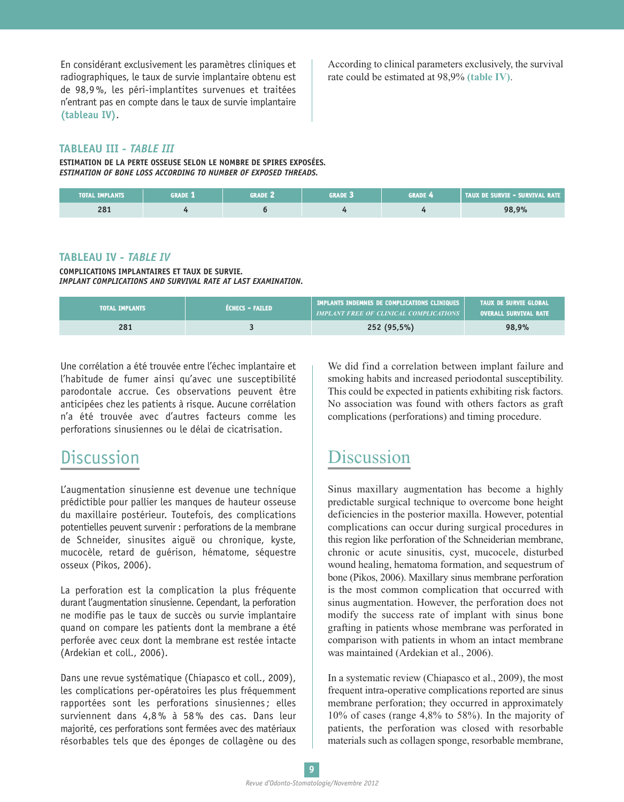En considérant exclusivement les paramètres cliniques et radiographiques, le taux de survie implantaire obtenu est de 98,9%, les péri-implantites survenues et traitées n'entrant pas en compte dans le taux de survie implantaire **(tableau IV)**.

According to clinical parameters exclusively, the survival rate could be estimated at 98,9% **(table IV)**.

#### **TABLEAU III -** *TABLE III*

**ESTIMATION DE LA PERTE OSSEUSE SELON LE NOMBRE DE SPIRES EXPOSÉES***. ESTIMATION OF BONE LOSS ACCORDING TO NUMBER OF EXPOSED THREADS.*

| TOTAL IMPLANTS | <b>GRADE 1</b> | GRADE 2 | grade 3 | <b>GRADE 4</b> | TAUX DE SURVIE - SURVIVAL RATE |
|----------------|----------------|---------|---------|----------------|--------------------------------|
| 281            |                |         |         |                | 98,9%                          |

#### **TABLEAU IV -** *TABLE IV*

**COMPLICATIONS IMPLANTAIRES ET TAUX DE SURVIE***. IMPLANT COMPLICATIONS AND SURVIVAL RATE AT LAST EXAMINATION.*

| <b>TOTAL IMPLANTS</b> | FÉCHECS - FAILED | IMPLANTS INDEMNES DE COMPLICATIONS CLINIQUES<br><b>IMPLANT FREE OF CLINICAL COMPLICATIONS</b> | <b>TAUX DE SURVIE GLOBAL</b><br><b>OVERALL SURVIVAL RATE</b> |
|-----------------------|------------------|-----------------------------------------------------------------------------------------------|--------------------------------------------------------------|
| 281                   |                  | 252 (95,5%)                                                                                   | 98,9%                                                        |

Une corrélation a été trouvée entre l'échec implantaire et l'habitude de fumer ainsi qu'avec une susceptibilité parodontale accrue. Ces observations peuvent être anticipées chez les patients à risque. Aucune corrélation n'a été trouvée avec d'autres facteurs comme les perforations sinusiennes ou le délai de cicatrisation.

### **Discussion**

L'augmentation sinusienne est devenue une technique prédictible pour pallier les manques de hauteur osseuse du maxillaire postérieur. Toutefois, des complications potentielles peuvent survenir : perforations de la membrane de Schneider, sinusites aiguë ou chronique, kyste, mucocèle, retard de guérison, hématome, séquestre osseux (Pikos, 2006).

La perforation est la complication la plus fréquente durant l'augmentation sinusienne. Cependant, la perforation ne modifie pas le taux de succès ou survie implantaire quand on compare les patients dont la membrane a été perforée avec ceux dont la membrane est restée intacte (Ardekian et coll., 2006).

Dans une revue systématique (Chiapasco et coll., 2009), les complications per-opératoires les plus fréquemment rapportées sont les perforations sinusiennes; elles surviennent dans 4,8% à 58% des cas. Dans leur majorité, ces perforations sont fermées avec des matériaux résorbables tels que des éponges de collagène ou des

We did find a correlation between implant failure and smoking habits and increased periodontal susceptibility. This could be expected in patients exhibiting risk factors. No association was found with others factors as graft complications (perforations) and timing procedure.

# **Discussion**

Sinus maxillary augmentation has become a highly predictable surgical technique to overcome bone height deficiencies in the posterior maxilla. However, potential complications can occur during surgical procedures in this region like perforation of the Schneiderian membrane, chronic or acute sinusitis, cyst, mucocele, disturbed wound healing, hematoma formation, and sequestrum of bone (Pikos, 2006). Maxillary sinus membrane perforation is the most common complication that occurred with sinus augmentation. However, the perforation does not modify the success rate of implant with sinus bone grafting in patients whose membrane was perforated in comparison with patients in whom an intact membrane was maintained (Ardekian et al., 2006).

In a systematic review (Chiapasco et al., 2009), the most frequent intra-operative complications reported are sinus membrane perforation; they occurred in approximately 10% of cases (range 4,8% to 58%). In the majority of patients, the perforation was closed with resorbable materials such as collagen sponge, resorbable membrane,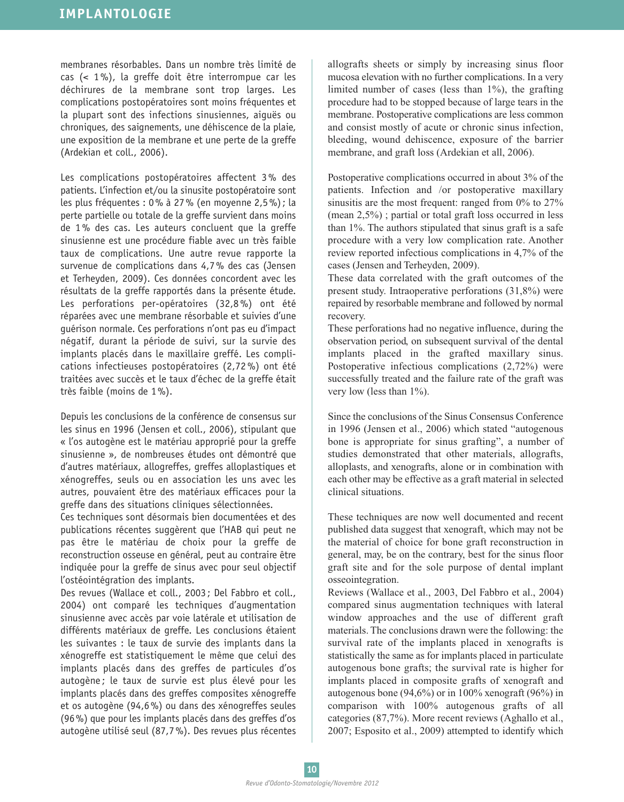membranes résorbables. Dans un nombre très limité de cas (< 1%), la greffe doit être interrompue car les déchirures de la membrane sont trop larges. Les complications postopératoires sont moins fréquentes et la plupart sont des infections sinusiennes, aiguës ou chroniques, des saignements, une déhiscence de la plaie, une exposition de la membrane et une perte de la greffe (Ardekian et coll., 2006).

Les complications postopératoires affectent 3% des patients. L'infection et/ou la sinusite postopératoire sont les plus fréquentes : 0% à 27% (en moyenne 2,5%); la perte partielle ou totale de la greffe survient dans moins de 1% des cas. Les auteurs concluent que la greffe sinusienne est une procédure fiable avec un très faible taux de complications. Une autre revue rapporte la survenue de complications dans 4,7% des cas (Jensen et Terheyden, 2009). Ces données concordent avec les résultats de la greffe rapportés dans la présente étude. Les perforations per-opératoires (32,8%) ont été réparées avec une membrane résorbable et suivies d'une guérison normale. Ces perforations n'ont pas eu d'impact négatif, durant la période de suivi, sur la survie des implants placés dans le maxillaire greffé. Les complications infectieuses postopératoires (2,72%) ont été traitées avec succès et le taux d'échec de la greffe était très faible (moins de 1%).

Depuis les conclusions de la conférence de consensus sur les sinus en 1996 (Jensen et coll., 2006), stipulant que « l'os autogène est le matériau approprié pour la greffe sinusienne », de nombreuses études ont démontré que d'autres matériaux, allogreffes, greffes alloplastiques et xénogreffes, seuls ou en association les uns avec les autres, pouvaient être des matériaux efficaces pour la greffe dans des situations cliniques sélectionnées.

Ces techniques sont désormais bien documentées et des publications récentes suggèrent que l'HAB qui peut ne pas être le matériau de choix pour la greffe de reconstruction osseuse en général, peut au contraire être indiquée pour la greffe de sinus avec pour seul objectif l'ostéointégration des implants.

Des revues (Wallace et coll., 2003; Del Fabbro et coll., 2004) ont comparé les techniques d'augmentation sinusienne avec accès par voie latérale et utilisation de différents matériaux de greffe. Les conclusions étaient les suivantes : le taux de survie des implants dans la xénogreffe est statistiquement le même que celui des implants placés dans des greffes de particules d'os autogène ; le taux de survie est plus élevé pour les implants placés dans des greffes composites xénogreffe et os autogène (94,6%) ou dans des xénogreffes seules (96%) que pour les implants placés dans des greffes d'os autogène utilisé seul (87,7%). Des revues plus récentes allografts sheets or simply by increasing sinus floor mucosa elevation with no further complications. In a very limited number of cases (less than 1%), the grafting procedure had to be stopped because of large tears in the membrane. Postoperative complications are less common and consist mostly of acute or chronic sinus infection, bleeding, wound dehiscence, exposure of the barrier membrane, and graft loss (Ardekian et all, 2006).

Postoperative complications occurred in about 3% of the patients. Infection and /or postoperative maxillary sinusitis are the most frequent: ranged from 0% to 27% (mean 2,5%) ; partial or total graft loss occurred in less than 1%. The authors stipulated that sinus graft is a safe procedure with a very low complication rate. Another review reported infectious complications in 4,7% of the cases (Jensen and Terheyden, 2009).

These data correlated with the graft outcomes of the present study. Intraoperative perforations (31,8%) were repaired by resorbable membrane and followed by normal recovery.

These perforations had no negative influence, during the observation period, on subsequent survival of the dental implants placed in the grafted maxillary sinus. Postoperative infectious complications (2,72%) were successfully treated and the failure rate of the graft was very low (less than  $1\%$ ).

Since the conclusions of the Sinus Consensus Conference in 1996 (Jensen et al., 2006) which stated "autogenous bone is appropriate for sinus grafting", a number of studies demonstrated that other materials, allografts, alloplasts, and xenografts, alone or in combination with each other may be effective as a graft material in selected clinical situations.

These techniques are now well documented and recent published data suggest that xenograft, which may not be the material of choice for bone graft reconstruction in general, may, be on the contrary, best for the sinus floor graft site and for the sole purpose of dental implant osseointegration.

Reviews (Wallace et al., 2003, Del Fabbro et al., 2004) compared sinus augmentation techniques with lateral window approaches and the use of different graft materials. The conclusions drawn were the following: the survival rate of the implants placed in xenografts is statistically the same as for implants placed in particulate autogenous bone grafts; the survival rate is higher for implants placed in composite grafts of xenograft and autogenous bone (94,6%) or in 100% xenograft (96%) in comparison with 100% autogenous grafts of all categories (87,7%). More recent reviews (Aghallo et al., 2007; Esposito et al., 2009) attempted to identify which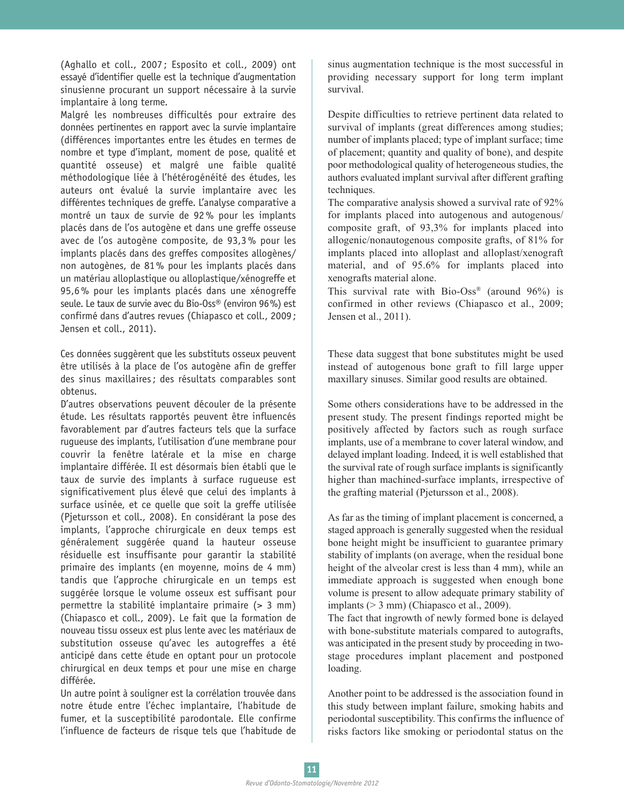(Aghallo et coll., 2007 ; Esposito et coll., 2009) ont essayé d'identifier quelle est la technique d'augmentation sinusienne procurant un support nécessaire à la survie implantaire à long terme.

Malgré les nombreuses difficultés pour extraire des données pertinentes en rapport avec la survie implantaire (différences importantes entre les études en termes de nombre et type d'implant, moment de pose, qualité et quantité osseuse) et malgré une faible qualité méthodologique liée à l'hétérogénéité des études, les auteurs ont évalué la survie implantaire avec les différentes techniques de greffe. L'analyse comparative a montré un taux de survie de 92% pour les implants placés dans de l'os autogène et dans une greffe osseuse avec de l'os autogène composite, de 93,3% pour les implants placés dans des greffes composites allogènes/ non autogènes, de 81% pour les implants placés dans un matériau alloplastique ou alloplastique/xénogreffe et 95,6% pour les implants placés dans une xénogreffe seule. Le taux de survie avec du Bio-Oss® (environ 96%) est confirmé dans d'autres revues (Chiapasco et coll., 2009; Jensen et coll., 2011).

Ces données suggèrent que les substituts osseux peuvent être utilisés à la place de l'os autogène afin de greffer des sinus maxillaires; des résultats comparables sont obtenus.

D'autres observations peuvent découler de la présente étude. Les résultats rapportés peuvent être influencés favorablement par d'autres facteurs tels que la surface rugueuse des implants, l'utilisation d'une membrane pour couvrir la fenêtre latérale et la mise en charge implantaire différée. Il est désormais bien établi que le taux de survie des implants à surface rugueuse est significativement plus élevé que celui des implants à surface usinée, et ce quelle que soit la greffe utilisée (Pjetursson et coll., 2008). En considérant la pose des implants, l'approche chirurgicale en deux temps est généralement suggérée quand la hauteur osseuse résiduelle est insuffisante pour garantir la stabilité primaire des implants (en moyenne, moins de 4 mm) tandis que l'approche chirurgicale en un temps est suggérée lorsque le volume osseux est suffisant pour permettre la stabilité implantaire primaire (> 3 mm) (Chiapasco et coll., 2009). Le fait que la formation de nouveau tissu osseux est plus lente avec les matériaux de substitution osseuse qu'avec les autogreffes a été anticipé dans cette étude en optant pour un protocole chirurgical en deux temps et pour une mise en charge différée.

Un autre point à souligner est la corrélation trouvée dans notre étude entre l'échec implantaire, l'habitude de fumer, et la susceptibilité parodontale. Elle confirme l'influence de facteurs de risque tels que l'habitude de sinus augmentation technique is the most successful in providing necessary support for long term implant survival.

Despite difficulties to retrieve pertinent data related to survival of implants (great differences among studies; number of implants placed; type of implant surface; time of placement; quantity and quality of bone), and despite poor methodological quality of heterogeneous studies, the authors evaluated implant survival after different grafting techniques.

The comparative analysis showed a survival rate of 92% for implants placed into autogenous and autogenous/ composite graft, of 93,3% for implants placed into allogenic/nonautogenous composite grafts, of 81% for implants placed into alloplast and alloplast/xenograft material, and of 95.6% for implants placed into xenografts material alone.

This survival rate with  $Bio-Oss^{\circ}$  (around 96%) is confirmed in other reviews (Chiapasco et al., 2009; Jensen et al., 2011).

These data suggest that bone substitutes might be used instead of autogenous bone graft to fill large upper maxillary sinuses. Similar good results are obtained.

Some others considerations have to be addressed in the present study. The present findings reported might be positively affected by factors such as rough surface implants, use of a membrane to cover lateral window, and delayed implant loading. Indeed, it is well established that the survival rate of rough surface implants is significantly higher than machined-surface implants, irrespective of the grafting material (Pjetursson et al., 2008).

As far as the timing of implant placement is concerned, a staged approach is generally suggested when the residual bone height might be insufficient to guarantee primary stability of implants (on average, when the residual bone height of the alveolar crest is less than 4 mm), while an immediate approach is suggested when enough bone volume is present to allow adequate primary stability of implants  $(> 3$  mm) (Chiapasco et al., 2009).

The fact that ingrowth of newly formed bone is delayed with bone-substitute materials compared to autografts, was anticipated in the present study by proceeding in twostage procedures implant placement and postponed loading.

Another point to be addressed is the association found in this study between implant failure, smoking habits and periodontal susceptibility. This confirms the influence of risks factors like smoking or periodontal status on the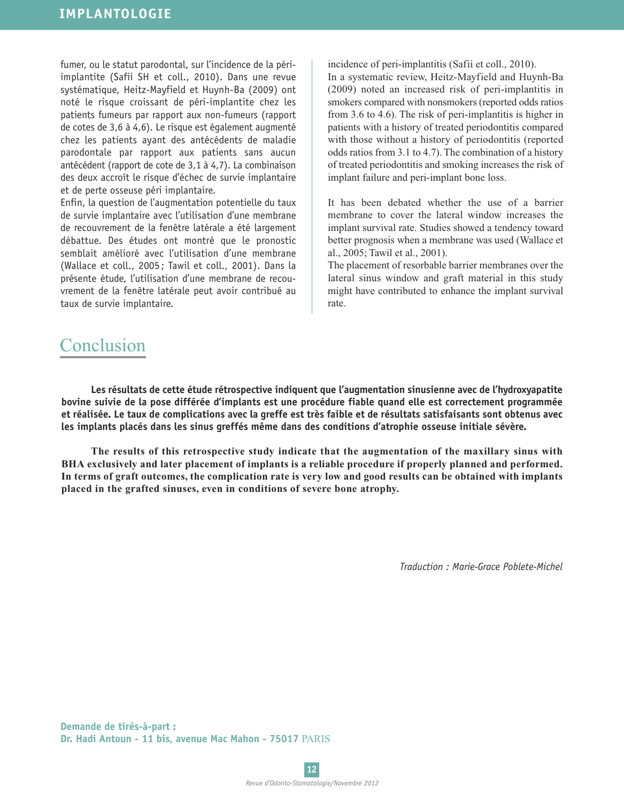fumer, ou le statut parodontal, sur l'incidence de la périimplantite (Safii SH et coll., 2010). Dans une revue systématique, Heitz-Mayfield et Huynh-Ba (2009) ont noté le risque croissant de péri-implantite chez les patients fumeurs par rapport aux non-fumeurs (rapport de cotes de 3,6 à 4,6). Le risque est également augmenté chez les patients ayant des antécédents de maladie parodontale par rapport aux patients sans aucun antécédent (rapport de cote de 3,1 à 4,7). La combinaison des deux accroît le risque d'échec de survie implantaire et de perte osseuse péri implantaire.

Enfin, la question de l'augmentation potentielle du taux de survie implantaire avec l'utilisation d'une membrane de recouvrement de la fenêtre latérale a été largement débattue. Des études ont montré que le pronostic semblait amélioré avec l'utilisation d'une membrane (Wallace et coll., 2005 ; Tawil et coll., 2001). Dans la présente étude, l'utilisation d'une membrane de recouvrement de la fenêtre latérale peut avoir contribué au taux de survie implantaire.

incidence of peri-implantitis (Safii et coll., 2010). In a systematic review, Heitz-Mayfield and Huynh-Ba (2009) noted an increased risk of peri-implantitis in smokers compared with nonsmokers (reported odds ratios from 3.6 to 4.6). The risk of peri-implantitis is higher in patients with a history of treated periodontitis compared with those without a history of periodontitis (reported odds ratios from 3.1 to 4.7). The combination of a history of treated periodontitis and smoking increases the risk of implant failure and peri-implant bone loss.

It has been debated whether the use of a barrier membrane to cover the lateral window increases the implant survival rate. Studies showed a tendency toward better prognosis when a membrane was used (Wallace et al., 2005; Tawil et al., 2001).

The placement of resorbable barrier membranes over the lateral sinus window and graft material in this study might have contributed to enhance the implant survival rate.

## Conclusion

**Les résultats de cette étude rétrospective indiquent que l'augmentation sinusienne avec de l'hydroxyapatite bovine suivie de la pose différée d'implants est une procédure fiable quand elle est correctement programmée** et réalisée. Le taux de complications avec la greffe est très faible et de résultats satisfaisants sont obtenus avec **les implants placés dans les sinus greffés même dans des conditions d'atrophie osseuse initiale sévère.**

**The results of this retrospective study indicate that the augmentation of the maxillary sinus with BHA exclusively and later placement of implants is a reliable procedure if properly planned and performed.** In terms of graft outcomes, the complication rate is very low and good results can be obtained with implants **placed in the grafted sinuses, even in conditions of severe bone atrophy.**

*Traduction : Marie-Grace Poblete-Michel*

**Demande de tirés-à-part : Dr. Hadi Antoun - 11 bis, avenue Mac Mahon - 75017** PARIS